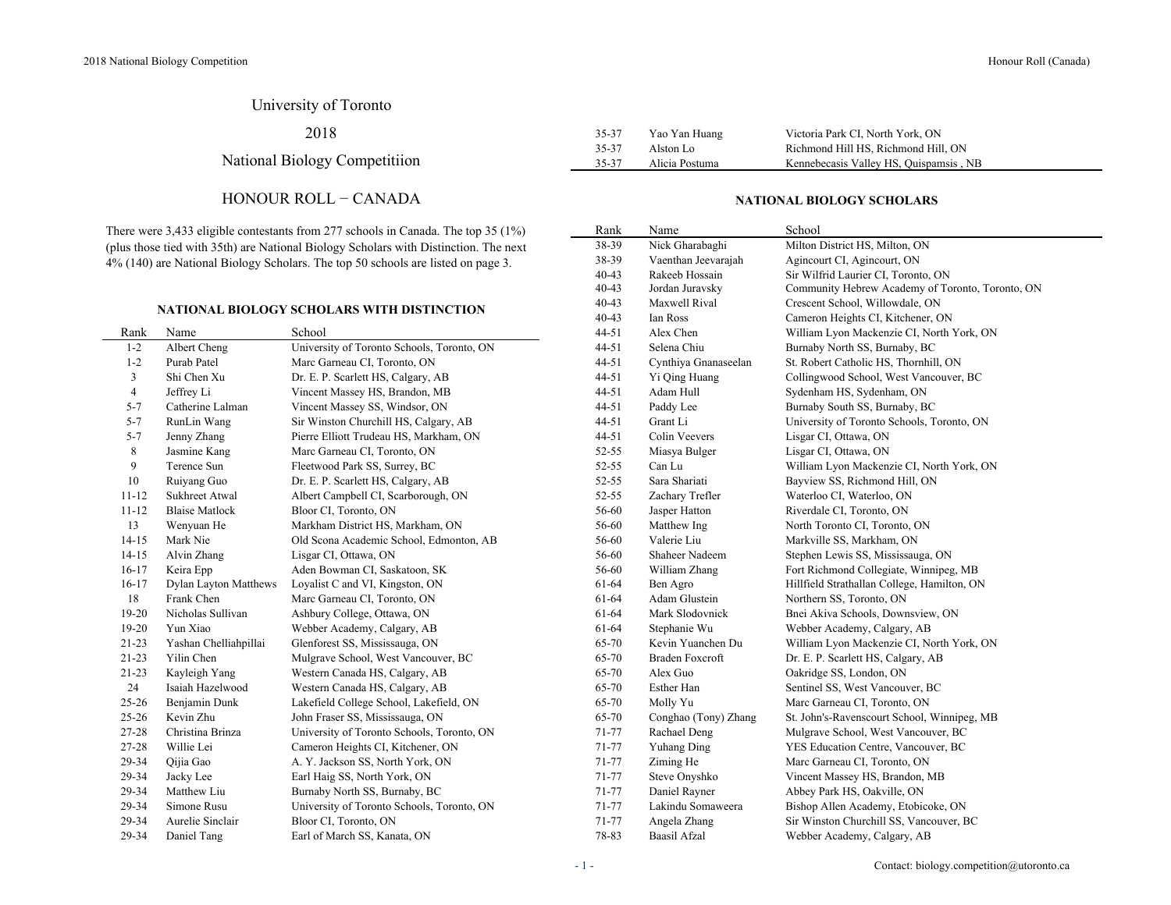# University of Toronto

2018

# National Biology Competitiion

## HONOUR ROLL − CANADA

There were 3,433 eligible contestants from 277 schools in Canada. The top 35 (1%) (plus those tied with 35th) are National Biology Scholars with Distinction. The next 4% (140) are National Biology Scholars. The top 50 schools are listed on page 3.

#### **NATIONAL BIOLOGY SCHOLARS WITH DISTINCTION**

| Rank           | Name                  | School                                     | 44-51     | Alex Chen              | William Lyon Mackenzie CI, North York, ON   |
|----------------|-----------------------|--------------------------------------------|-----------|------------------------|---------------------------------------------|
| $1 - 2$        | Albert Cheng          | University of Toronto Schools, Toronto, ON | $44 - 51$ | Selena Chiu            | Burnaby North SS, Burnaby, BC               |
| $1 - 2$        | Purab Patel           | Marc Garneau CI, Toronto, ON               | 44-51     | Cynthiya Gnanaseelan   | St. Robert Catholic HS, Thornhill, ON       |
| 3              | Shi Chen Xu           | Dr. E. P. Scarlett HS, Calgary, AB         | 44-51     | Yi Qing Huang          | Collingwood School, West Vancouver, BC      |
| $\overline{4}$ | Jeffrey Li            | Vincent Massey HS, Brandon, MB             | $44 - 51$ | Adam Hull              | Sydenham HS, Sydenham, ON                   |
| $5 - 7$        | Catherine Lalman      | Vincent Massey SS, Windsor, ON             | 44-51     | Paddy Lee              | Burnaby South SS, Burnaby, BC               |
| $5 - 7$        | RunLin Wang           | Sir Winston Churchill HS, Calgary, AB      | 44-51     | Grant Li               | University of Toronto Schools, Toronto, ON  |
| $5 - 7$        | Jenny Zhang           | Pierre Elliott Trudeau HS, Markham, ON     | 44-51     | Colin Veevers          | Lisgar CI, Ottawa, ON                       |
| 8              | Jasmine Kang          | Marc Garneau CI, Toronto, ON               | 52-55     | Miasya Bulger          | Lisgar CI, Ottawa, ON                       |
| 9              | Terence Sun           | Fleetwood Park SS, Surrey, BC              | 52-55     | Can Lu                 | William Lyon Mackenzie CI, North York, ON   |
| 10             | Ruiyang Guo           | Dr. E. P. Scarlett HS, Calgary, AB         | 52-55     | Sara Shariati          | Bayview SS, Richmond Hill, ON               |
| $11 - 12$      | Sukhreet Atwal        | Albert Campbell CI, Scarborough, ON        | 52-55     | Zachary Trefler        | Waterloo CI, Waterloo, ON                   |
| $11 - 12$      | <b>Blaise Matlock</b> | Bloor CI, Toronto, ON                      | 56-60     | Jasper Hatton          | Riverdale CI, Toronto, ON                   |
| 13             | Wenyuan He            | Markham District HS, Markham, ON           | 56-60     | Matthew Ing            | North Toronto CI, Toronto, ON               |
| $14 - 15$      | Mark Nie              | Old Scona Academic School, Edmonton, AB    | 56-60     | Valerie Liu            | Markville SS, Markham, ON                   |
| $14 - 15$      | Alvin Zhang           | Lisgar CI, Ottawa, ON                      | 56-60     | Shaheer Nadeem         | Stephen Lewis SS, Mississauga, ON           |
| $16-17$        | Keira Epp             | Aden Bowman CI, Saskatoon, SK              | 56-60     | William Zhang          | Fort Richmond Collegiate, Winnipeg, MB      |
| $16-17$        | Dylan Layton Matthews | Loyalist C and VI, Kingston, ON            | 61-64     | Ben Agro               | Hillfield Strathallan College, Hamilton, ON |
| 18             | Frank Chen            | Marc Garneau CI, Toronto, ON               | 61-64     | Adam Glustein          | Northern SS, Toronto, ON                    |
| 19-20          | Nicholas Sullivan     | Ashbury College, Ottawa, ON                | 61-64     | Mark Slodovnick        | Bnei Akiva Schools, Downsview, ON           |
| 19-20          | Yun Xiao              | Webber Academy, Calgary, AB                | 61-64     | Stephanie Wu           | Webber Academy, Calgary, AB                 |
| $21 - 23$      | Yashan Chelliahpillai | Glenforest SS, Mississauga, ON             | 65-70     | Kevin Yuanchen Du      | William Lyon Mackenzie CI, North York, ON   |
| $21 - 23$      | Yilin Chen            | Mulgrave School, West Vancouver, BC        | 65-70     | <b>Braden Foxcroft</b> | Dr. E. P. Scarlett HS, Calgary, AB          |
| $21 - 23$      | Kayleigh Yang         | Western Canada HS, Calgary, AB             | 65-70     | Alex Guo               | Oakridge SS, London, ON                     |
| 24             | Isaiah Hazelwood      | Western Canada HS, Calgary, AB             | 65-70     | Esther Han             | Sentinel SS, West Vancouver, BC             |
| $25 - 26$      | Benjamin Dunk         | Lakefield College School, Lakefield, ON    | 65-70     | Molly Yu               | Marc Garneau CI, Toronto, ON                |
| $25 - 26$      | Kevin Zhu             | John Fraser SS, Mississauga, ON            | 65-70     | Conghao (Tony) Zhang   | St. John's-Ravenscourt School, Winnipeg, MB |
| 27-28          | Christina Brinza      | University of Toronto Schools, Toronto, ON | 71-77     | Rachael Deng           | Mulgrave School, West Vancouver, BC         |
| 27-28          | Willie Lei            | Cameron Heights CI, Kitchener, ON          | 71-77     | <b>Yuhang Ding</b>     | YES Education Centre, Vancouver, BC         |
| 29-34          | Qijia Gao             | A. Y. Jackson SS, North York, ON           | 71-77     | Ziming He              | Marc Garneau CI, Toronto, ON                |
| 29-34          | Jacky Lee             | Earl Haig SS, North York, ON               | 71-77     | Steve Onyshko          | Vincent Massey HS, Brandon, MB              |
| 29-34          | Matthew Liu           | Burnaby North SS, Burnaby, BC              | 71-77     | Daniel Rayner          | Abbey Park HS, Oakville, ON                 |
| 29-34          | Simone Rusu           | University of Toronto Schools, Toronto, ON | 71-77     | Lakindu Somaweera      | Bishop Allen Academy, Etobicoke, ON         |
| 29-34          | Aurelie Sinclair      | Bloor CI, Toronto, ON                      | 71-77     | Angela Zhang           | Sir Winston Churchill SS, Vancouver, BC     |
| 29-34          | Daniel Tang           | Earl of March SS, Kanata, ON               | 78-83     | Baasil Afzal           | Webber Academy, Calgary, AB                 |
|                |                       |                                            |           |                        |                                             |

| 35-37 | Yao Yan Huang  | Victoria Park CI, North York, ON       |
|-------|----------------|----------------------------------------|
| 35-37 | Alston Lo      | Richmond Hill HS, Richmond Hill, ON    |
| 35-37 | Alicia Postuma | Kennebecasis Valley HS, Quispamsis, NB |

### **NATIONAL BIOLOGY SCHOLARS**

| Rank  | Name                   | School                                           |
|-------|------------------------|--------------------------------------------------|
| 38-39 | Nick Gharabaghi        | Milton District HS, Milton, ON                   |
| 38-39 | Vaenthan Jeevarajah    | Agincourt CI, Agincourt, ON                      |
| 40-43 | Rakeeb Hossain         | Sir Wilfrid Laurier CI, Toronto, ON              |
| 40-43 | Jordan Juravsky        | Community Hebrew Academy of Toronto, Toronto, ON |
| 40-43 | Maxwell Rival          | Crescent School, Willowdale, ON                  |
| 40-43 | Ian Ross               | Cameron Heights CI, Kitchener, ON                |
| 44-51 | Alex Chen              | William Lyon Mackenzie CI, North York, ON        |
| 44-51 | Selena Chiu            | Burnaby North SS, Burnaby, BC                    |
| 44-51 | Cynthiya Gnanaseelan   | St. Robert Catholic HS, Thornhill, ON            |
| 44-51 | Yi Qing Huang          | Collingwood School, West Vancouver, BC           |
| 44-51 | Adam Hull              | Sydenham HS, Sydenham, ON                        |
| 44-51 | Paddy Lee              | Burnaby South SS, Burnaby, BC                    |
| 44-51 | Grant Li               | University of Toronto Schools, Toronto, ON       |
| 44-51 | Colin Veevers          | Lisgar CI, Ottawa, ON                            |
| 52-55 | Miasya Bulger          | Lisgar CI, Ottawa, ON                            |
| 52-55 | Can Lu                 | William Lyon Mackenzie CI, North York, ON        |
| 52-55 | Sara Shariati          | Bayview SS, Richmond Hill, ON                    |
| 52-55 | Zachary Trefler        | Waterloo CI, Waterloo, ON                        |
| 56-60 | Jasper Hatton          | Riverdale CI, Toronto, ON                        |
| 56-60 | Matthew Ing            | North Toronto CI, Toronto, ON                    |
| 56-60 | Valerie Liu            | Markville SS, Markham, ON                        |
| 56-60 | Shaheer Nadeem         | Stephen Lewis SS, Mississauga, ON                |
| 56-60 | William Zhang          | Fort Richmond Collegiate, Winnipeg, MB           |
| 61-64 | Ben Agro               | Hillfield Strathallan College, Hamilton, ON      |
| 61-64 | Adam Glustein          | Northern SS, Toronto, ON                         |
| 61-64 | Mark Slodovnick        | Bnei Akiva Schools, Downsview, ON                |
| 61-64 | Stephanie Wu           | Webber Academy, Calgary, AB                      |
| 65-70 | Kevin Yuanchen Du      | William Lyon Mackenzie CI, North York, ON        |
| 65-70 | <b>Braden Foxcroft</b> | Dr. E. P. Scarlett HS, Calgary, AB               |
| 65-70 | Alex Guo               | Oakridge SS, London, ON                          |
| 65-70 | Esther Han             | Sentinel SS, West Vancouver, BC                  |
| 65-70 | Molly Yu               | Marc Garneau CI, Toronto, ON                     |
| 65-70 | Conghao (Tony) Zhang   | St. John's-Ravenscourt School, Winnipeg, MB      |
| 71-77 | Rachael Deng           | Mulgrave School, West Vancouver, BC              |
| 71-77 | <b>Yuhang Ding</b>     | YES Education Centre, Vancouver, BC              |
| 71-77 | Ziming He              | Marc Garneau CI, Toronto, ON                     |
| 71-77 | Steve Onyshko          | Vincent Massey HS, Brandon, MB                   |
| 71-77 | Daniel Rayner          | Abbey Park HS, Oakville, ON                      |
| 71-77 | Lakindu Somaweera      | Bishop Allen Academy, Etobicoke, ON              |
| 71-77 | Angela Zhang           | Sir Winston Churchill SS, Vancouver, BC          |
| 78-83 | Baasil Afzal           | Webber Academy, Calgary, AB                      |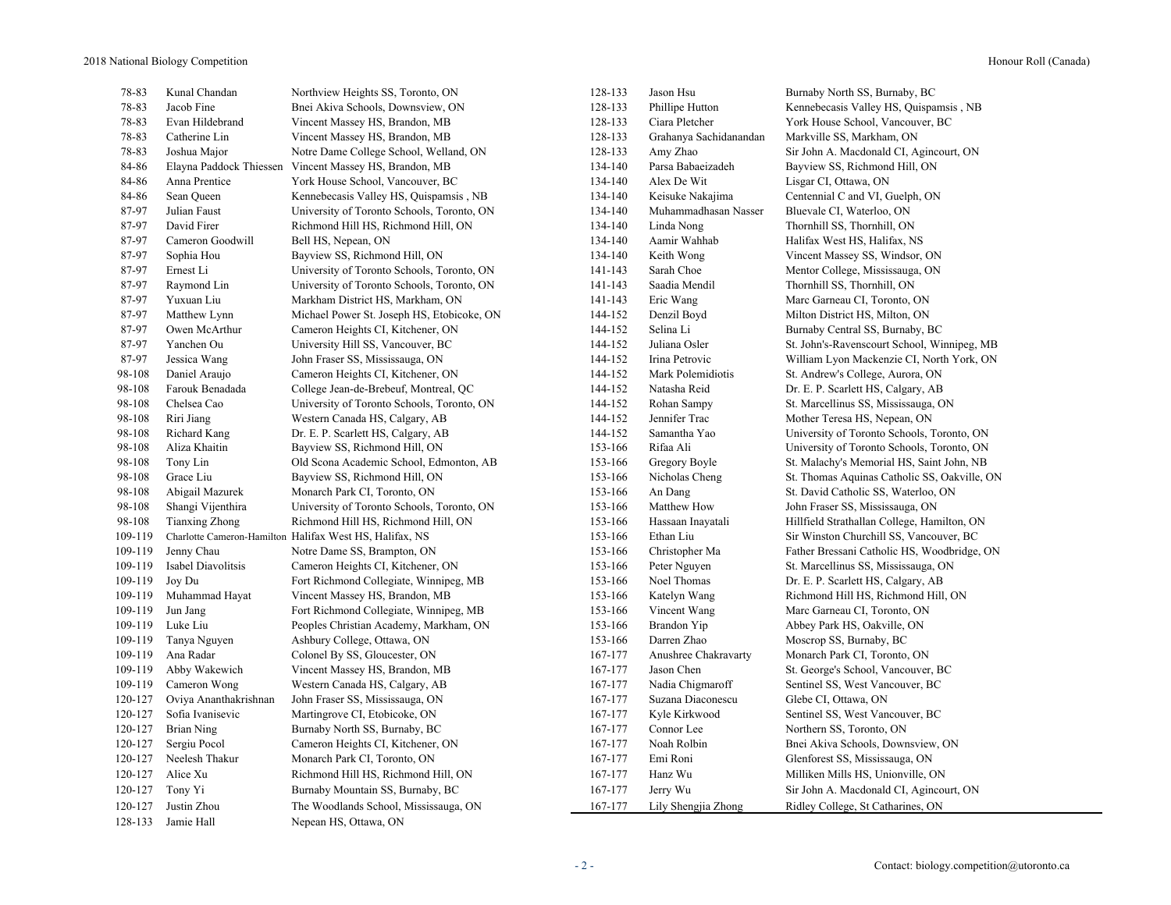| 78-83   | Kunal Chandan         | Northview Heights SS, Toronto, ON                       | 128-133 | Jason Hsu              | Burnaby North SS, Burnaby, BC                |
|---------|-----------------------|---------------------------------------------------------|---------|------------------------|----------------------------------------------|
| 78-83   | Jacob Fine            | Bnei Akiva Schools, Downsview, ON                       | 128-133 | Phillipe Hutton        | Kennebecasis Valley HS, Quispamsis, NB       |
| 78-83   | Evan Hildebrand       | Vincent Massey HS, Brandon, MB                          | 128-133 | Ciara Pletcher         | York House School, Vancouver, BC             |
| 78-83   | Catherine Lin         | Vincent Massey HS, Brandon, MB                          | 128-133 | Grahanya Sachidanandan | Markville SS, Markham, ON                    |
| 78-83   | Joshua Major          | Notre Dame College School, Welland, ON                  | 128-133 | Amy Zhao               | Sir John A. Macdonald CI, Agincourt, ON      |
| 84-86   |                       | Elayna Paddock Thiessen Vincent Massey HS, Brandon, MB  | 134-140 | Parsa Babaeizadeh      | Bayview SS, Richmond Hill, ON                |
| 84-86   | Anna Prentice         | York House School, Vancouver, BC                        | 134-140 | Alex De Wit            | Lisgar CI, Ottawa, ON                        |
| 84-86   | Sean Queen            | Kennebecasis Valley HS, Quispamsis, NB                  | 134-140 | Keisuke Nakajima       | Centennial C and VI, Guelph, ON              |
| 87-97   | Julian Faust          | University of Toronto Schools, Toronto, ON              | 134-140 | Muhammadhasan Nasser   | Bluevale CI, Waterloo, ON                    |
| 87-97   | David Firer           | Richmond Hill HS, Richmond Hill, ON                     | 134-140 | Linda Nong             | Thornhill SS, Thornhill, ON                  |
| 87-97   | Cameron Goodwill      | Bell HS, Nepean, ON                                     | 134-140 | Aamir Wahhab           | Halifax West HS, Halifax, NS                 |
| 87-97   | Sophia Hou            | Bayview SS, Richmond Hill, ON                           | 134-140 | Keith Wong             | Vincent Massey SS, Windsor, ON               |
| 87-97   | Ernest Li             | University of Toronto Schools, Toronto, ON              | 141-143 | Sarah Choe             | Mentor College, Mississauga, ON              |
| 87-97   | Raymond Lin           | University of Toronto Schools, Toronto, ON              | 141-143 | Saadia Mendil          | Thornhill SS, Thornhill, ON                  |
| 87-97   | Yuxuan Liu            | Markham District HS, Markham, ON                        | 141-143 | Eric Wang              | Marc Garneau CI, Toronto, ON                 |
| 87-97   | Matthew Lynn          | Michael Power St. Joseph HS, Etobicoke, ON              | 144-152 | Denzil Boyd            | Milton District HS, Milton, ON               |
| 87-97   | Owen McArthur         | Cameron Heights CI, Kitchener, ON                       | 144-152 | Selina Li              | Burnaby Central SS, Burnaby, BC              |
| 87-97   | Yanchen Ou            | University Hill SS, Vancouver, BC                       | 144-152 | Juliana Osler          | St. John's-Ravenscourt School, Winnipeg, MB  |
| 87-97   | Jessica Wang          | John Fraser SS, Mississauga, ON                         | 144-152 | Irina Petrovic         | William Lyon Mackenzie CI, North York, ON    |
| 98-108  | Daniel Araujo         | Cameron Heights CI, Kitchener, ON                       | 144-152 | Mark Polemidiotis      | St. Andrew's College, Aurora, ON             |
| 98-108  | Farouk Benadada       | College Jean-de-Brebeuf, Montreal, QC                   | 144-152 | Natasha Reid           | Dr. E. P. Scarlett HS, Calgary, AB           |
| 98-108  | Chelsea Cao           | University of Toronto Schools, Toronto, ON              | 144-152 | Rohan Sampy            | St. Marcellinus SS, Mississauga, ON          |
| 98-108  | Riri Jiang            | Western Canada HS, Calgary, AB                          | 144-152 | Jennifer Trac          | Mother Teresa HS, Nepean, ON                 |
| 98-108  | Richard Kang          | Dr. E. P. Scarlett HS, Calgary, AB                      | 144-152 | Samantha Yao           | University of Toronto Schools, Toronto, ON   |
| 98-108  | Aliza Khaitin         | Bayview SS, Richmond Hill, ON                           | 153-166 | Rifaa Ali              | University of Toronto Schools, Toronto, ON   |
| 98-108  | Tony Lin              | Old Scona Academic School, Edmonton, AB                 | 153-166 | Gregory Boyle          | St. Malachy's Memorial HS, Saint John, NB    |
| 98-108  | Grace Liu             | Bayview SS, Richmond Hill, ON                           | 153-166 | Nicholas Cheng         | St. Thomas Aquinas Catholic SS, Oakville, ON |
| 98-108  | Abigail Mazurek       | Monarch Park CI, Toronto, ON                            | 153-166 | An Dang                | St. David Catholic SS, Waterloo, ON          |
| 98-108  | Shangi Vijenthira     | University of Toronto Schools, Toronto, ON              | 153-166 | Matthew How            | John Fraser SS, Mississauga, ON              |
| 98-108  | <b>Tianxing Zhong</b> | Richmond Hill HS, Richmond Hill, ON                     | 153-166 | Hassaan Inayatali      | Hillfield Strathallan College, Hamilton, ON  |
| 109-119 |                       | Charlotte Cameron-Hamilton Halifax West HS, Halifax, NS | 153-166 | Ethan Liu              | Sir Winston Churchill SS, Vancouver, BC      |
| 109-119 | Jenny Chau            | Notre Dame SS, Brampton, ON                             | 153-166 | Christopher Ma         | Father Bressani Catholic HS, Woodbridge, ON  |
| 109-119 | Isabel Diavolitsis    | Cameron Heights CI, Kitchener, ON                       | 153-166 | Peter Nguyen           | St. Marcellinus SS, Mississauga, ON          |
| 109-119 | Joy Du                | Fort Richmond Collegiate, Winnipeg, MB                  | 153-166 | Noel Thomas            | Dr. E. P. Scarlett HS, Calgary, AB           |
| 109-119 | Muhammad Hayat        | Vincent Massey HS, Brandon, MB                          | 153-166 | Katelyn Wang           | Richmond Hill HS, Richmond Hill, ON          |
| 109-119 | Jun Jang              | Fort Richmond Collegiate, Winnipeg, MB                  | 153-166 | Vincent Wang           | Marc Garneau CI, Toronto, ON                 |
| 109-119 | Luke Liu              | Peoples Christian Academy, Markham, ON                  | 153-166 | Brandon Yip            | Abbey Park HS, Oakville, ON                  |
| 109-119 | Tanya Nguyen          | Ashbury College, Ottawa, ON                             | 153-166 | Darren Zhao            | Moscrop SS, Burnaby, BC                      |
| 109-119 | Ana Radar             | Colonel By SS, Gloucester, ON                           | 167-177 | Anushree Chakravarty   | Monarch Park CI, Toronto, ON                 |
| 109-119 | Abby Wakewich         | Vincent Massey HS, Brandon, MB                          | 167-177 | Jason Chen             | St. George's School, Vancouver, BC           |
| 109-119 | Cameron Wong          | Western Canada HS, Calgary, AB                          | 167-177 | Nadia Chigmaroff       | Sentinel SS, West Vancouver, BC              |
| 120-127 | Oviya Ananthakrishnan | John Fraser SS, Mississauga, ON                         | 167-177 | Suzana Diaconescu      | Glebe CI, Ottawa, ON                         |
| 120-127 | Sofia Ivanisevic      | Martingrove CI, Etobicoke, ON                           | 167-177 | Kyle Kirkwood          | Sentinel SS, West Vancouver, BC              |
| 120-127 | <b>Brian Ning</b>     | Burnaby North SS, Burnaby, BC                           | 167-177 | Connor Lee             | Northern SS, Toronto, ON                     |
| 120-127 | Sergiu Pocol          | Cameron Heights CI, Kitchener, ON                       | 167-177 | Noah Rolbin            | Bnei Akiva Schools, Downsview, ON            |
| 120-127 | Neelesh Thakur        | Monarch Park CI, Toronto, ON                            | 167-177 | Emi Roni               | Glenforest SS, Mississauga, ON               |
| 120-127 | Alice Xu              | Richmond Hill HS, Richmond Hill, ON                     | 167-177 | Hanz Wu                | Milliken Mills HS, Unionville, ON            |
| 120-127 | Tony Yi               | Burnaby Mountain SS, Burnaby, BC                        | 167-177 | Jerry Wu               | Sir John A. Macdonald CI, Agincourt, ON      |
| 120-127 | Justin Zhou           | The Woodlands School, Mississauga, ON                   | 167-177 | Lily Shengjia Zhong    | Ridley College, St Catharines, ON            |
| 128-133 | Jamie Hall            | Nepean HS, Ottawa, ON                                   |         |                        |                                              |
|         |                       |                                                         |         |                        |                                              |